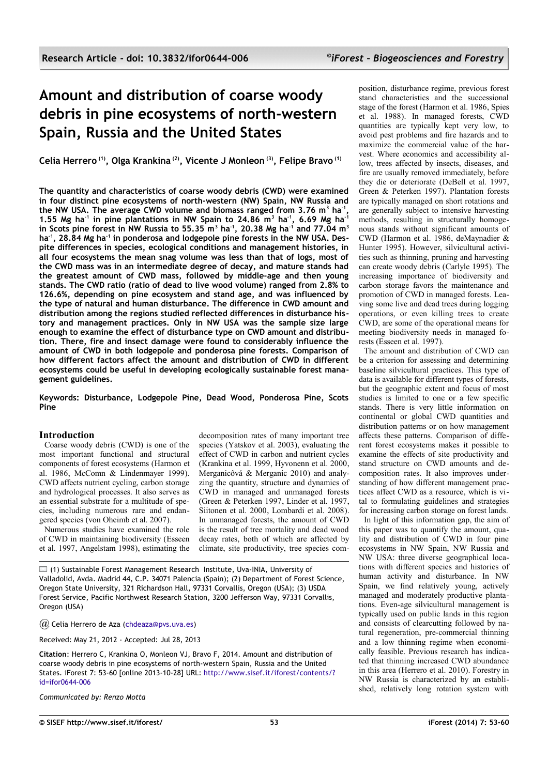# **Amount and distribution of coarse woody debris in pine ecosystems of north-western Spain, Russia and the United States**

**Celia Herrero (1), Olga Krankina (2), Vicente J Monleon (3), Felipe Bravo (1)**

**The quantity and characteristics of coarse woody debris (CWD) were examined in four distinct pine ecosystems of north-western (NW) Spain, NW Russia and the NW USA. The average CWD volume and biomass ranged from 3.76 m<sup>3</sup> ha-1 , 1.55 Mg ha-1 in pine plantations in NW Spain to 24.86 m<sup>3</sup> ha-1, 6.69 Mg ha-1 in Scots pine forest in NW Russia to 55.35 m<sup>3</sup> ha-1, 20.38 Mg ha-1 and 77.04 m<sup>3</sup> ha-1, 28.84 Mg ha-1 in ponderosa and lodgepole pine forests in the NW USA. Despite differences in species, ecological conditions and management histories, in all four ecosystems the mean snag volume was less than that of logs, most of the CWD mass was in an intermediate degree of decay, and mature stands had the greatest amount of CWD mass, followed by middle-age and then young stands. The CWD ratio (ratio of dead to live wood volume) ranged from 2.8% to 126.6%, depending on pine ecosystem and stand age, and was influenced by the type of natural and human disturbance. The difference in CWD amount and distribution among the regions studied reflected differences in disturbance history and management practices. Only in NW USA was the sample size large enough to examine the effect of disturbance type on CWD amount and distribution. There, fire and insect damage were found to considerably influence the amount of CWD in both lodgepole and ponderosa pine forests. Comparison of how different factors affect the amount and distribution of CWD in different ecosystems could be useful in developing ecologically sustainable forest management guidelines.**

**Keywords: Disturbance, Lodgepole Pine, Dead Wood, Ponderosa Pine, Scots Pine**

# **Introduction**

Coarse woody debris (CWD) is one of the most important functional and structural components of forest ecosystems (Harmon et al. 1986, McComn & Lindenmayer 1999). CWD affects nutrient cycling, carbon storage and hydrological processes. It also serves as an essential substrate for a multitude of species, including numerous rare and endangered species (von Oheimb et al. 2007).

Numerous studies have examined the role of CWD in maintaining biodiversity (Esseen et al. 1997, Angelstam 1998), estimating the

decomposition rates of many important tree species (Yatskov et al. 2003), evaluating the effect of CWD in carbon and nutrient cycles (Krankina et al. 1999, Hyvonenn et al. 2000, Merganicôvá & Merganic 2010) and analyzing the quantity, structure and dynamics of CWD in managed and unmanaged forests (Green & Peterken 1997, Linder et al. 1997, Siitonen et al. 2000, Lombardi et al. 2008). In unmanaged forests, the amount of CWD is the result of tree mortality and dead wood decay rates, both of which are affected by climate, site productivity, tree species com-

(1) Sustainable Forest Management Research Institute, Uva-INIA, University of Valladolid, Avda. Madrid 44, C.P. 34071 Palencia (Spain); (2) Department of Forest Science, Oregon State University, 321 Richardson Hall, 97331 Corvallis, Oregon (USA); (3) USDA Forest Service, Pacific Northwest Research Station, 3200 Jefferson Way, 97331 Corvallis, Oregon (USA)

*@* Celia Herrero de Aza [\(chdeaza@pvs.uva.es\)](mailto:)

Received: May 21, 2012 - Accepted: Jul 28, 2013

**Citation**: Herrero C, Krankina O, Monleon VJ, Bravo F, 2014. Amount and distribution of coarse woody debris in pine ecosystems of north-western Spain, Russia and the United States. iForest 7: 53-60 [online 2013-10-28] URL: [http://www.sisef.it/iforest/contents/?](http://www.sisef.it/iforest/contents/?id=ifor0644-006) [id=ifor0644-006](http://www.sisef.it/iforest/contents/?id=ifor0644-006)

*Communicated by: Renzo Motta*

position, disturbance regime, previous forest stand characteristics and the successional stage of the forest (Harmon et al. 1986, Spies et al. 1988). In managed forests, CWD quantities are typically kept very low, to avoid pest problems and fire hazards and to maximize the commercial value of the harvest. Where economics and accessibility allow, trees affected by insects, diseases, and fire are usually removed immediately, before they die or deteriorate (DeBell et al. 1997, Green & Peterken 1997). Plantation forests are typically managed on short rotations and are generally subject to intensive harvesting methods, resulting in structurally homogenous stands without significant amounts of CWD (Harmon et al. 1986, deMaynadier & Hunter 1995). However, silvicultural activities such as thinning, pruning and harvesting can create woody debris (Carlyle 1995). The increasing importance of biodiversity and carbon storage favors the maintenance and promotion of CWD in managed forests. Leaving some live and dead trees during logging operations, or even killing trees to create CWD, are some of the operational means for meeting biodiversity needs in managed forests (Esseen et al. 1997).

The amount and distribution of CWD can be a criterion for assessing and determining baseline silvicultural practices. This type of data is available for different types of forests, but the geographic extent and focus of most studies is limited to one or a few specific stands. There is very little information on continental or global CWD quantities and distribution patterns or on how management affects these patterns. Comparison of different forest ecosystems makes it possible to examine the effects of site productivity and stand structure on CWD amounts and decomposition rates. It also improves understanding of how different management practices affect CWD as a resource, which is vital to formulating guidelines and strategies for increasing carbon storage on forest lands.

In light of this information gap, the aim of this paper was to quantify the amount, quality and distribution of CWD in four pine ecosystems in NW Spain, NW Russia and NW USA: three diverse geographical locations with different species and histories of human activity and disturbance. In NW Spain, we find relatively young, actively managed and moderately productive plantations. Even-age silvicultural management is typically used on public lands in this region and consists of clearcutting followed by natural regeneration, pre-commercial thinning and a low thinning regime when economically feasible. Previous research has indicated that thinning increased CWD abundance in this area (Herrero et al. 2010). Forestry in NW Russia is characterized by an established, relatively long rotation system with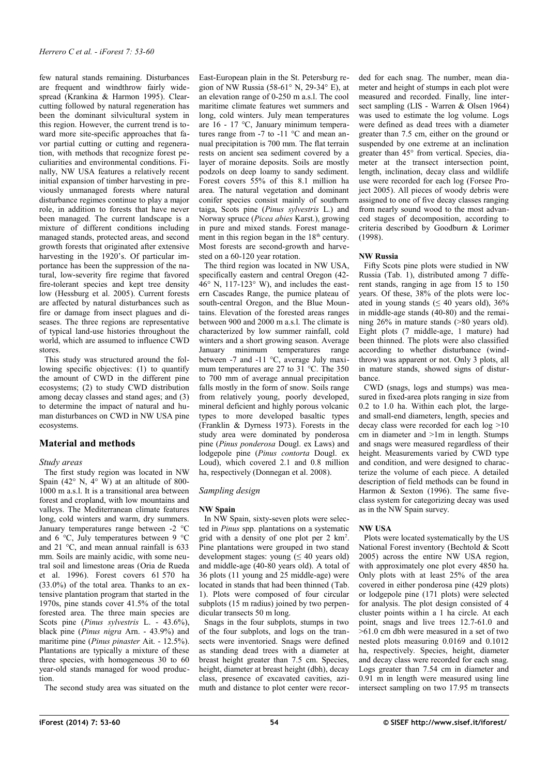few natural stands remaining. Disturbances are frequent and windthrow fairly widespread (Krankina & Harmon 1995). Clearcutting followed by natural regeneration has been the dominant silvicultural system in this region. However, the current trend is toward more site-specific approaches that favor partial cutting or cutting and regeneration, with methods that recognize forest peculiarities and environmental conditions. Finally, NW USA features a relatively recent initial expansion of timber harvesting in previously unmanaged forests where natural disturbance regimes continue to play a major role, in addition to forests that have never been managed. The current landscape is a mixture of different conditions including managed stands, protected areas, and second growth forests that originated after extensive harvesting in the 1920's. Of particular importance has been the suppression of the natural, low-severity fire regime that favored fire-tolerant species and kept tree density low (Hessburg et al. 2005). Current forests are affected by natural disturbances such as fire or damage from insect plagues and diseases. The three regions are representative of typical land-use histories throughout the world, which are assumed to influence CWD stores.

This study was structured around the following specific objectives: (1) to quantify the amount of CWD in the different pine ecosystems; (2) to study CWD distribution among decay classes and stand ages; and (3) to determine the impact of natural and human disturbances on CWD in NW USA pine ecosystems.

# **Material and methods**

## *Study areas*

The first study region was located in NW Spain (42 $\degree$  N, 4 $\degree$  W) at an altitude of 800-1000 m a.s.l. It is a transitional area between forest and cropland, with low mountains and valleys. The Mediterranean climate features long, cold winters and warm, dry summers. January temperatures range between -2 °C and 6 °C, July temperatures between 9 °C and 21 °C, and mean annual rainfall is 633 mm. Soils are mainly acidic, with some neutral soil and limestone areas (Oria de Rueda et al. 1996). Forest covers 61 570 ha (33.0%) of the total area. Thanks to an extensive plantation program that started in the 1970s, pine stands cover 41.5% of the total forested area. The three main species are Scots pine (*Pinus sylvestris* L. - 43.6%), black pine (*Pinus nigra* Arn. - 43.9%) and maritime pine (*Pinus pinaster* Ait. - 12.5%). Plantations are typically a mixture of these three species, with homogeneous 30 to 60 year-old stands managed for wood production.

The second study area was situated on the

East-European plain in the St. Petersburg region of NW Russia (58-61° N, 29-34° E), at an elevation range of 0-250 m a.s.l. The cool maritime climate features wet summers and long, cold winters. July mean temperatures are 16 - 17 °C, January minimum temperatures range from -7 to -11 °C and mean annual precipitation is 700 mm. The flat terrain rests on ancient sea sediment covered by a layer of moraine deposits. Soils are mostly podzols on deep loamy to sandy sediment. Forest covers 55% of this 8.1 million ha area. The natural vegetation and dominant conifer species consist mainly of southern taiga, Scots pine (*Pinus sylvestris* L.) and Norway spruce (*Picea abies* Karst.), growing in pure and mixed stands. Forest management in this region began in the  $18<sup>th</sup>$  century. Most forests are second-growth and harvested on a 60-120 year rotation.

The third region was located in NW USA, specifically eastern and central Oregon (42- $46^{\circ}$  N, 117-123 $^{\circ}$  W), and includes the eastern Cascades Range, the pumice plateau of south-central Oregon, and the Blue Mountains. Elevation of the forested areas ranges between 900 and 2000 m a.s.l. The climate is characterized by low summer rainfall, cold winters and a short growing season. Average January minimum temperatures range between -7 and -11 °C, average July maximum temperatures are 27 to 31 °C. The 350 to 700 mm of average annual precipitation falls mostly in the form of snow. Soils range from relatively young, poorly developed, mineral deficient and highly porous volcanic types to more developed basaltic types (Franklin & Dyrness 1973). Forests in the study area were dominated by ponderosa pine (*Pinus ponderosa* Dougl. ex Laws) and lodgepole pine (*Pinus contorta* Dougl. ex Loud), which covered 2.1 and 0.8 million ha, respectively (Donnegan et al. 2008).

## *Sampling design*

## **NW Spain**

In NW Spain, sixty-seven plots were selected in *Pinus* spp. plantations on a systematic grid with a density of one plot per  $2 \text{ km}^2$ . Pine plantations were grouped in two stand development stages: young  $( \leq 40 \text{ years old})$ and middle-age (40-80 years old). A total of 36 plots (11 young and 25 middle-age) were located in stands that had been thinned [\(Tab.](#page-2-0) [1\)](#page-2-0). Plots were composed of four circular subplots (15 m radius) joined by two perpendicular transects 50 m long.

Snags in the four subplots, stumps in two of the four subplots, and logs on the transects were inventoried. Snags were defined as standing dead trees with a diameter at breast height greater than 7.5 cm. Species, height, diameter at breast height (dbh), decay class, presence of excavated cavities, azimuth and distance to plot center were recorded for each snag. The number, mean diameter and height of stumps in each plot were measured and recorded. Finally, line intersect sampling (LIS - Warren & Olsen 1964) was used to estimate the log volume. Logs were defined as dead trees with a diameter greater than 7.5 cm, either on the ground or suspended by one extreme at an inclination greater than 45° from vertical. Species, diameter at the transect intersection point, length, inclination, decay class and wildlife use were recorded for each log (Forsee Project 2005). All pieces of woody debris were assigned to one of five decay classes ranging from nearly sound wood to the most advanced stages of decomposition, according to criteria described by Goodburn & Lorimer (1998).

# **NW Russia**

Fifty Scots pine plots were studied in NW Russia [\(Tab. 1\)](#page-2-0), distributed among 7 different stands, ranging in age from 15 to 150 years. Of these, 38% of the plots were located in young stands ( $\leq 40$  years old), 36% in middle-age stands (40-80) and the remaining 26% in mature stands (>80 years old). Eight plots (7 middle-age, 1 mature) had been thinned. The plots were also classified according to whether disturbance (windthrow) was apparent or not. Only 3 plots, all in mature stands, showed signs of disturbance.

CWD (snags, logs and stumps) was measured in fixed-area plots ranging in size from 0.2 to 1.0 ha. Within each plot, the largeand small-end diameters, length, species and decay class were recorded for each log >10 cm in diameter and >1m in length. Stumps and snags were measured regardless of their height. Measurements varied by CWD type and condition, and were designed to characterize the volume of each piece. A detailed description of field methods can be found in Harmon & Sexton (1996). The same fiveclass system for categorizing decay was used as in the NW Spain survey.

# **NW USA**

Plots were located systematically by the US National Forest inventory (Bechtold & Scott 2005) across the entire NW USA region, with approximately one plot every 4850 ha. Only plots with at least 25% of the area covered in either ponderosa pine (429 plots) or lodgepole pine (171 plots) were selected for analysis. The plot design consisted of 4 cluster points within a 1 ha circle. At each point, snags and live trees 12.7-61.0 and  $>61.0$  cm dbh were measured in a set of two nested plots measuring 0.0169 and 0.1012 ha, respectively. Species, height, diameter and decay class were recorded for each snag. Logs greater than 7.54 cm in diameter and 0.91 m in length were measured using line intersect sampling on two 17.95 m transects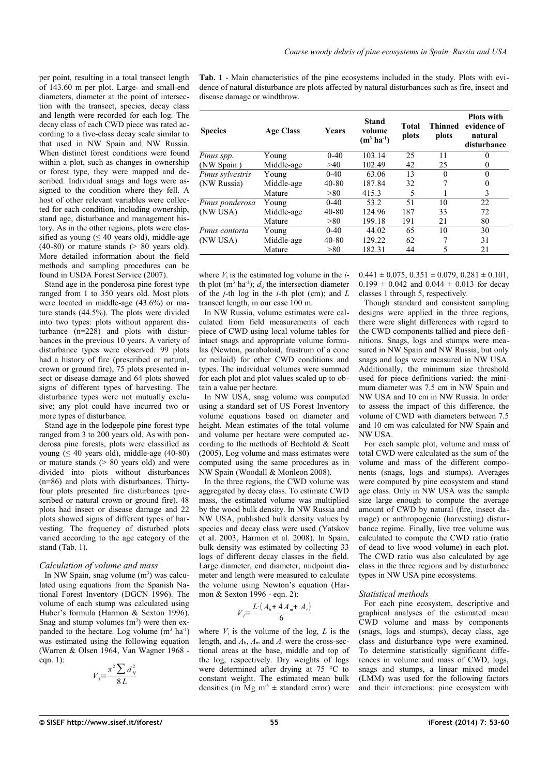per point, resulting in a total transect length of 143.60 m per plot. Large- and small-end diameters, diameter at the point of intersection with the transect, species, decay class and length were recorded for each log. The decay class of each CWD piece was rated according to a five-class decay scale similar to that used in NW Spain and NW Russia. When distinct forest conditions were found within a plot, such as changes in ownership or forest type, they were mapped and described. Individual snags and logs were assigned to the condition where they fell. A host of other relevant variables were collected for each condition, including ownership, stand age, disturbance and management history. As in the other regions, plots were classified as young ( $\leq 40$  years old), middle-age  $(40-80)$  or mature stands  $(> 80$  years old). More detailed information about the field methods and sampling procedures can be found in USDA Forest Service (2007).

Stand age in the ponderosa pine forest type ranged from 1 to 350 years old. Most plots were located in middle-age (43.6%) or mature stands (44.5%). The plots were divided into two types: plots without apparent disturbance  $(n=228)$  and plots with disturbances in the previous 10 years. A variety of disturbance types were observed: 99 plots had a history of fire (prescribed or natural, crown or ground fire), 75 plots presented insect or disease damage and 64 plots showed signs of different types of harvesting. The disturbance types were not mutually exclusive; any plot could have incurred two or more types of disturbance.

Stand age in the lodgepole pine forest type ranged from 3 to 200 years old. As with ponderosa pine forests, plots were classified as young  $( \leq 40$  years old), middle-age (40-80) or mature stands  $(> 80$  years old) and were divided into plots without disturbances (n=86) and plots with disturbances. Thirtyfour plots presented fire disturbances (prescribed or natural crown or ground fire), 48 plots had insect or disease damage and 22 plots showed signs of different types of harvesting. The frequency of disturbed plots varied according to the age category of the stand [\(Tab. 1\)](#page-2-0).

#### *Calculation of volume and mass*

In NW Spain, snag volume  $(m<sup>3</sup>)$  was calculated using equations from the Spanish National Forest Inventory (DGCN 1996). The volume of each stump was calculated using Huber's formula (Harmon & Sexton 1996). Snag and stump volumes  $(m<sup>3</sup>)$  were then expanded to the hectare. Log volume  $(m^3 \text{ ha}^{-1})$ was estimated using the following equation (Warren & Olsen 1964, Van Wagner 1968 eqn. 1):

$$
V_i = \frac{\pi^2 \sum d_{ij}^2}{8L}
$$

<span id="page-2-0"></span>**Tab. 1** - Main characteristics of the pine ecosystems included in the study. Plots with evidence of natural disturbance are plots affected by natural disturbances such as fire, insect and disease damage or windthrow.

| <b>Species</b>   | <b>Age Class</b> | <b>Years</b> | Stand<br>volume<br>$(m^3 \, ha^{-1})$ | <b>Total</b><br>plots | Thinned<br>plots | <b>Plots with</b><br>evidence of<br>natural<br>disturbance |
|------------------|------------------|--------------|---------------------------------------|-----------------------|------------------|------------------------------------------------------------|
| Pinus spp.       | Young            | $0 - 40$     | 103.14                                | 25                    | 11               | 0                                                          |
| (NW Spain)       | Middle-age       | >40          | 102.49                                | 42                    | 25               | 0                                                          |
| Pinus sylvestris | Young            | $0 - 40$     | 63.06                                 | 13                    | $\theta$         | $\theta$                                                   |
| (NW Russia)      | Middle-age       | $40 - 80$    | 187.84                                | 32                    |                  | 0                                                          |
|                  | Mature           | >80          | 415.3                                 | 5                     |                  | 3                                                          |
| Pinus ponderosa  | Young            | $0 - 40$     | 53.2                                  | 51                    | 10               | 22                                                         |
| (NW USA)         | Middle-age       | $40 - 80$    | 124.96                                | 187                   | 33               | 72                                                         |
|                  | Mature           | >80          | 199.18                                | 191                   | 21               | 80                                                         |
| Pinus contorta   | Young            | $0 - 40$     | 44.02                                 | 65                    | 10               | 30                                                         |
| (NW USA)         | Middle-age       | $40 - 80$    | 129.22                                | 62                    |                  | 31                                                         |
|                  | Mature           | >80          | 182.31                                | 44                    | 5                | 21                                                         |

where  $V_i$  is the estimated log volume in the  $i$ th plot  $(m^3 \text{ ha}^{-1})$ ;  $d_{ij}$  the intersection diameter of the *j*-th log in the *i*-th plot (cm); and *L* transect length, in our case 100 m.

In NW Russia, volume estimates were calculated from field measurements of each piece of CWD using local volume tables for intact snags and appropriate volume formulas (Newton, paraboloid, frustrum of a cone or neiloid) for other CWD conditions and types. The individual volumes were summed for each plot and plot values scaled up to obtain a value per hectare.

In NW USA, snag volume was computed using a standard set of US Forest Inventory volume equations based on diameter and height. Mean estimates of the total volume and volume per hectare were computed according to the methods of Bechtold & Scott (2005). Log volume and mass estimates were computed using the same procedures as in NW Spain (Woodall & Monleon 2008).

In the three regions, the CWD volume was aggregated by decay class. To estimate CWD mass, the estimated volume was multiplied by the wood bulk density. In NW Russia and NW USA, published bulk density values by species and decay class were used (Yatskov et al. 2003, Harmon et al. 2008). In Spain, bulk density was estimated by collecting 33 logs of different decay classes in the field. Large diameter, end diameter, midpoint diameter and length were measured to calculate the volume using Newton's equation (Harmon & Sexton 1996 - eqn. 2):

$$
V_i = \frac{L \cdot (A_b + 4A_m + A_t)}{6}
$$

where  $V_i$  is the volume of the log,  $L$  is the length, and  $A_b$ ,  $A_m$  and  $A_t$  were the cross-sectional areas at the base, middle and top of the log, respectively. Dry weights of logs were determined after drying at 75 °C to constant weight. The estimated mean bulk densities (in Mg  $m<sup>3</sup> \pm$  standard error) were  $0.441 \pm 0.075$ ,  $0.351 \pm 0.079$ ,  $0.281 \pm 0.101$ ,  $0.199 \pm 0.042$  and  $0.044 \pm 0.013$  for decay classes 1 through 5, respectively.

Though standard and consistent sampling designs were applied in the three regions, there were slight differences with regard to the CWD components tallied and piece definitions. Snags, logs and stumps were measured in NW Spain and NW Russia, but only snags and logs were measured in NW USA. Additionally, the minimum size threshold used for piece definitions varied: the minimum diameter was 7.5 cm in NW Spain and NW USA and 10 cm in NW Russia. In order to assess the impact of this difference, the volume of CWD with diameters between 7.5 and 10 cm was calculated for NW Spain and NW USA.

For each sample plot, volume and mass of total CWD were calculated as the sum of the volume and mass of the different components (snags, logs and stumps). Averages were computed by pine ecosystem and stand age class. Only in NW USA was the sample size large enough to compute the average amount of CWD by natural (fire, insect damage) or anthropogenic (harvesting) disturbance regime. Finally, live tree volume was calculated to compute the CWD ratio (ratio of dead to live wood volume) in each plot. The CWD ratio was also calculated by age class in the three regions and by disturbance types in NW USA pine ecosystems.

## *Statistical methods*

For each pine ecosystem, descriptive and graphical analyses of the estimated mean CWD volume and mass by components (snags, logs and stumps), decay class, age class and disturbance type were examined. To determine statistically significant differences in volume and mass of CWD, logs, snags and stumps, a linear mixed model (LMM) was used for the following factors and their interactions: pine ecosystem with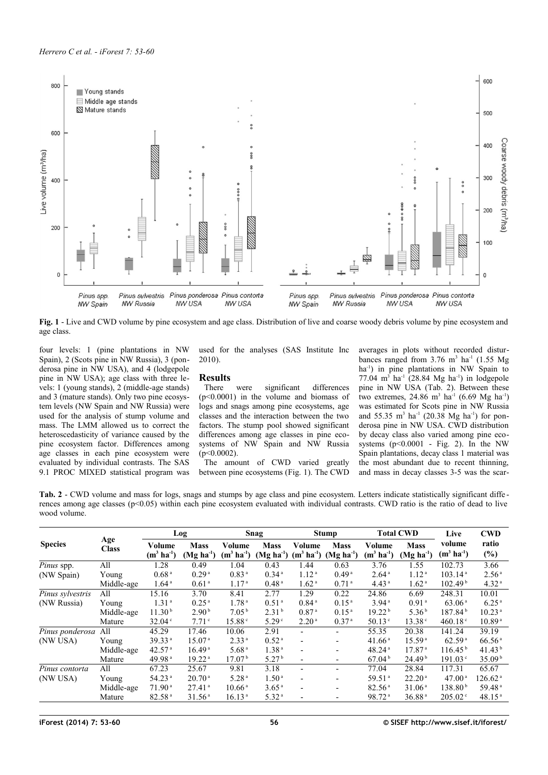

<span id="page-3-1"></span>**Fig. 1** - Live and CWD volume by pine ecosystem and age class. Distribution of live and coarse woody debris volume by pine ecosystem and age class.

four levels: 1 (pine plantations in NW Spain), 2 (Scots pine in NW Russia), 3 (ponderosa pine in NW USA), and 4 (lodgepole pine in NW USA); age class with three levels: 1 (young stands), 2 (middle-age stands) and 3 (mature stands). Only two pine ecosystem levels (NW Spain and NW Russia) were used for the analysis of stump volume and mass. The LMM allowed us to correct the heteroscedasticity of variance caused by the pine ecosystem factor. Differences among age classes in each pine ecosystem were evaluated by individual contrasts. The SAS 9.1 PROC MIXED statistical program was

used for the analyses (SAS Institute Inc 2010).

## **Results**

There were significant differences (p<0.0001) in the volume and biomass of logs and snags among pine ecosystems, age classes and the interaction between the two factors. The stump pool showed significant differences among age classes in pine ecosystems of NW Spain and NW Russia  $(p<0.0002)$ .

The amount of CWD varied greatly between pine ecosystems [\(Fig. 1\)](#page-3-1). The CWD averages in plots without recorded disturbances ranged from  $3.76 \text{ m}^3$  ha<sup>-1</sup> (1.55 Mg) ha<sup>-1</sup>) in pine plantations in NW Spain to 77.04  $m^3$  ha<sup>-1</sup> (28.84 Mg ha<sup>-1</sup>) in lodgepole pine in NW USA [\(Tab. 2\)](#page-3-0). Between these two extremes, 24.86  $m^3$  ha<sup>-1</sup> (6.69 Mg ha<sup>-1</sup>) was estimated for Scots pine in NW Russia and 55.35  $m^3$  ha<sup>-1</sup> (20.38 Mg ha<sup>-1</sup>) for ponderosa pine in NW USA. CWD distribution by decay class also varied among pine ecosystems  $(p<0.0001 - Fig. 2)$  $(p<0.0001 - Fig. 2)$ . In the NW Spain plantations, decay class 1 material was the most abundant due to recent thinning, and mass in decay classes 3-5 was the scar-

<span id="page-3-0"></span>**Tab. 2** - CWD volume and mass for logs, snags and stumps by age class and pine ecosystem. Letters indicate statistically significant diffe rences among age classes ( $p<0.05$ ) within each pine ecosystem evaluated with individual contrasts. CWD ratio is the ratio of dead to live wood volume.

|                  | Age<br><b>Class</b> | Log                                    |                                        | <b>Snag</b>                            |                                        | <b>Stump</b>                           |                                        | <b>Total CWD</b>                       |                                        | Live                                       | <b>CWD</b>                             |
|------------------|---------------------|----------------------------------------|----------------------------------------|----------------------------------------|----------------------------------------|----------------------------------------|----------------------------------------|----------------------------------------|----------------------------------------|--------------------------------------------|----------------------------------------|
| <b>Species</b>   |                     | Volume<br>$(m^3 \, ha^{-1})$           | <b>Mass</b><br>$(Mg ha-1)$             | Volume<br>$(m^3 \, ha^{-1})$           | <b>Mass</b><br>$(Mg ha-1)$             | Volume<br>$(m^3 \, ha^{-1})$           | <b>Mass</b><br>$(Mg ha-1)$             | Volume<br>$(m^3 \, ha^{-1})$           | <b>Mass</b><br>$(Mg ha-1)$             | volume<br>$(m^3 \, ha^1)$                  | ratio<br>$(\%)$                        |
| Pinus spp.       | All                 | 1.28                                   | 0.49                                   | 1.04                                   | 0.43                                   | 1.44                                   | 0.63                                   | 3.76                                   | 1.55                                   | 102.73                                     | 3.66                                   |
| (NW Spain)       | Young<br>Middle-age | 0.68 <sup>a</sup><br>1.64 <sup>a</sup> | 0.29 <sup>a</sup><br>0.61 <sup>a</sup> | 0.83 <sup>a</sup><br>1.17 <sup>a</sup> | 0.34 <sup>a</sup><br>0.48 <sup>a</sup> | 1.12 <sup>a</sup><br>1.62 <sup>a</sup> | 0.49 <sup>a</sup><br>0.71 <sup>a</sup> | 2.64 <sup>a</sup><br>4.43 <sup>a</sup> | 1.12 <sup>a</sup><br>1.62 <sup>a</sup> | 103.14 <sup>a</sup><br>102.49 <sup>b</sup> | 2.56 <sup>a</sup><br>4.32 <sup>a</sup> |
| Pinus sylvestris | All                 | 15.16                                  | 3.70                                   | 8.41                                   | 2.77                                   | 1.29                                   | 0.22                                   | 24.86                                  | 6.69                                   | 248.31                                     | 10.01                                  |
| (NW Russia)      | Young               | 1.31 <sup>a</sup>                      | 0.25 <sup>a</sup>                      | 1.78 <sup>a</sup>                      | 0.51 <sup>a</sup>                      | 0.84 <sup>a</sup>                      | 0.15 <sup>a</sup>                      | 3.94 <sup>a</sup>                      | 0.91 <sup>a</sup>                      | 63.06 <sup>a</sup>                         | 6.25 <sup>a</sup>                      |
|                  | Middle-age          | 11.30 <sup>b</sup>                     | 2.90 <sup>b</sup>                      | 7.05 <sup>b</sup>                      | 2.31 <sup>b</sup>                      | 0.87 <sup>a</sup>                      | 0.15 <sup>a</sup>                      | 19.22 <sup>b</sup>                     | 5.36 <sup>b</sup>                      | 187.84 <sup>b</sup>                        | 10.23 <sup>a</sup>                     |
|                  | Mature              | 32.04 <sup>c</sup>                     | 7.71 <sup>c</sup>                      | $15.88^{\circ}$                        | 5.29 <sup>c</sup>                      | 2.20 <sup>a</sup>                      | 0.37 <sup>a</sup>                      | 50.13°                                 | 13.38 <sup>c</sup>                     | 460.18 $\degree$                           | 10.89 <sup>a</sup>                     |
| Pinus ponderosa  | All                 | 45.29                                  | 17.46                                  | 10.06                                  | 2.91                                   |                                        | $\overline{\phantom{0}}$               | 55.35                                  | 20.38                                  | 141.24                                     | 39.19                                  |
| (NW USA)         | Young               | 39.33 <sup>a</sup>                     | 15.07 <sup>a</sup>                     | 2.33 <sup>a</sup>                      | 0.52 <sup>a</sup>                      |                                        | -                                      | $41.66^{\text{a}}$                     | 15.59 <sup>a</sup>                     | 62.59 <sup>a</sup>                         | 66.56 <sup>a</sup>                     |
|                  | Middle-age          | 42.57 <sup>a</sup>                     | 16.49 <sup>a</sup>                     | 5.68 <sup>a</sup>                      | 1.38 <sup>a</sup>                      |                                        | -                                      | 48.24 <sup>a</sup>                     | 17.87 <sup>a</sup>                     | $116.45^{\mathrm{b}}$                      | 41.43 <sup>b</sup>                     |
|                  | Mature              | 49.98 <sup>a</sup>                     | 19.22 <sup>a</sup>                     | 17.07 <sup>b</sup>                     | 5.27 <sup>b</sup>                      | -                                      | $\overline{\phantom{0}}$               | 67.04 <sup>b</sup>                     | 24.49 <sup>b</sup>                     | $191.03^{\circ}$                           | 35.09 <sup>b</sup>                     |
| Pinus contorta   | All                 | 67.23                                  | 25.67                                  | 9.81                                   | 3.18                                   | $\overline{\phantom{0}}$               | $\overline{\phantom{0}}$               | 77.04                                  | 28.84                                  | 117.31                                     | 65.67                                  |
| (NW USA)         | Young               | 54.23 <sup>a</sup>                     | 20.70 <sup>a</sup>                     | 5.28 <sup>a</sup>                      | 1.50 <sup>a</sup>                      |                                        | $\overline{\phantom{0}}$               | 59.51 <sup>a</sup>                     | 22.20 <sup>a</sup>                     | 47.00 <sup>a</sup>                         | 126.62 <sup>a</sup>                    |
|                  | Middle-age          | 71.90 <sup>a</sup>                     | $27.41$ <sup>a</sup>                   | 10.66 <sup>a</sup>                     | 3.65 <sup>a</sup>                      |                                        | -                                      | 82.56 <sup>a</sup>                     | 31.06 <sup>a</sup>                     | 138.80 <sup>b</sup>                        | 59.48 <sup>a</sup>                     |
|                  | Mature              | 82.58 <sup>a</sup>                     | 31.56 <sup>a</sup>                     | 16.13 <sup>a</sup>                     | 5.32 <sup>a</sup>                      |                                        | -                                      | 98.72 <sup>a</sup>                     | 36.88 <sup>a</sup>                     | $205.02^{\circ}$                           | 48.15 <sup>a</sup>                     |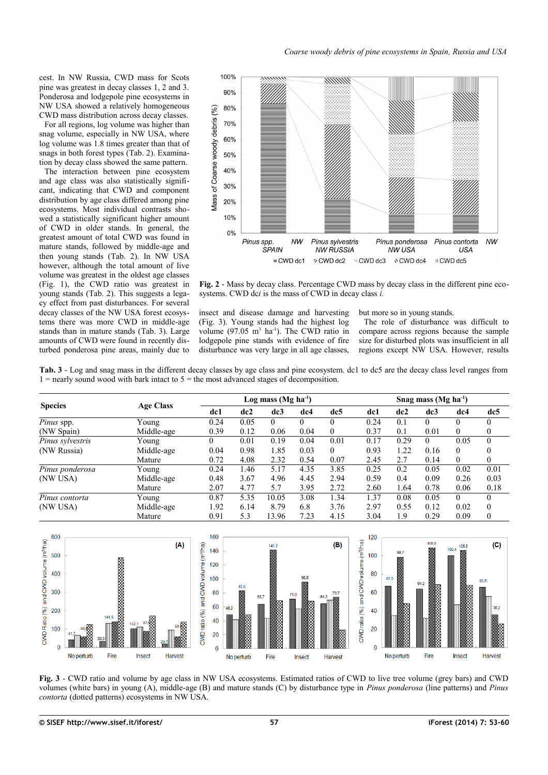cest. In NW Russia, CWD mass for Scots pine was greatest in decay classes 1, 2 and 3. Ponderosa and lodgepole pine ecosystems in NW USA showed a relatively homogeneous CWD mass distribution across decay classes.

For all regions, log volume was higher than snag volume, especially in NW USA, where log volume was 1.8 times greater than that of snags in both forest types [\(Tab. 2\)](#page-3-0). Examination by decay class showed the same pattern.

The interaction between pine ecosystem and age class was also statistically significant, indicating that CWD and component distribution by age class differed among pine ecosystems. Most individual contrasts showed a statistically significant higher amount of CWD in older stands. In general, the greatest amount of total CWD was found in mature stands, followed by middle-age and then young stands [\(Tab. 2\)](#page-3-0). In NW USA however, although the total amount of live volume was greatest in the oldest age classes [\(Fig. 1\)](#page-3-1), the CWD ratio was greatest in young stands [\(Tab. 2\)](#page-3-0). This suggests a legacy effect from past disturbances. For several decay classes of the NW USA forest ecosystems there was more CWD in middle-age stands than in mature stands [\(Tab. 3\)](#page-4-2). Large amounts of CWD were found in recently disturbed ponderosa pine areas, mainly due to



<span id="page-4-0"></span>**Fig. 2** - Mass by decay class. Percentage CWD mass by decay class in the different pine ecosystems. CWD dc*i* is the mass of CWD in decay class *i.*

insect and disease damage and harvesting [\(Fig. 3\)](#page-4-1). Young stands had the highest log volume  $(97.05 \text{ m}^3 \text{ ha}^{-1})$ . The CWD ratio in lodgepole pine stands with evidence of fire disturbance was very large in all age classes,

but more so in young stands.

The role of disturbance was difficult to compare across regions because the sample size for disturbed plots was insufficient in all regions except NW USA. However, results

<span id="page-4-2"></span>**Tab. 3** - Log and snag mass in the different decay classes by age class and pine ecosystem. dc1 to dc5 are the decay class level ranges from  $1 =$  nearly sound wood with bark intact to  $5 =$  the most advanced stages of decomposition.

| <b>Species</b>   |                  |          | Log mass $(Mg ha-1)$ |          |          |          |      | Snag mass $(Mg ha^{-1})$ |          |          |              |  |
|------------------|------------------|----------|----------------------|----------|----------|----------|------|--------------------------|----------|----------|--------------|--|
|                  | <b>Age Class</b> | dc1      | dc2                  | dc3      | dc4      | dc5      | dc1  | dc2                      | dc3      | dc4      | dc5          |  |
| Pinus spp.       | Young            | 0.24     | 0.05                 | $\theta$ | $\Omega$ | $\theta$ | 0.24 | 0.1                      | $\theta$ | $\theta$ | $\theta$     |  |
| (NW Spain)       | Middle-age       | 0.39     | 0.12                 | 0.06     | 0.04     | $\theta$ | 0.37 | 0.1                      | 0.01     | $\theta$ | 0            |  |
| Pinus sylvestris | Young            | $\Omega$ | 0.01                 | 0.19     | 0.04     | 0.01     | 0.17 | 0.29                     | $\theta$ | 0.05     | $\theta$     |  |
| (NW Russia)      | Middle-age       | 0.04     | 0.98                 | 1.85     | 0.03     | $\theta$ | 0.93 | 1.22                     | 0.16     | $\theta$ | $\Omega$     |  |
|                  | Mature           | 0.72     | 4.08                 | 2.32     | 0.54     | 0.07     | 2.45 | 2.7                      | 0.14     | $\Omega$ | 0            |  |
| Pinus ponderosa  | Young            | 0.24     | 1.46                 | 5.17     | 4.35     | 3.85     | 0.25 | 0.2                      | 0.05     | 0.02     | 0.01         |  |
| (NW USA)         | Middle-age       | 0.48     | 3.67                 | 4.96     | 4.45     | 2.94     | 0.59 | 0.4                      | 0.09     | 0.26     | 0.03         |  |
|                  | Mature           | 2.07     | 4.77                 | 5.7      | 3.95     | 2.72     | 2.60 | 1.64                     | 0.78     | 0.06     | 0.18         |  |
| Pinus contorta   | Young            | 0.87     | 5.35                 | 10.05    | 3.08     | 1.34     | 1.37 | 0.08                     | 0.05     | $\Omega$ | 0            |  |
| (NW USA)         | Middle-age       | 1.92     | 6.14                 | 8.79     | 6.8      | 3.76     | 2.97 | 0.55                     | 0.12     | 0.02     | $\mathbf{0}$ |  |
|                  | Mature           | 0.91     | 5.3                  | 13.96    | 7.23     | 4.15     | 3.04 | 1.9                      | 0.29     | 0.09     | $\mathbf{0}$ |  |



<span id="page-4-1"></span>**Fig. 3** - CWD ratio and volume by age class in NW USA ecosystems. Estimated ratios of CWD to live tree volume (grey bars) and CWD volumes (white bars) in young (A), middle-age (B) and mature stands (C) by disturbance type in *Pinus ponderosa* (line patterns) and *Pinus contorta* (dotted patterns) ecosystems in NW USA.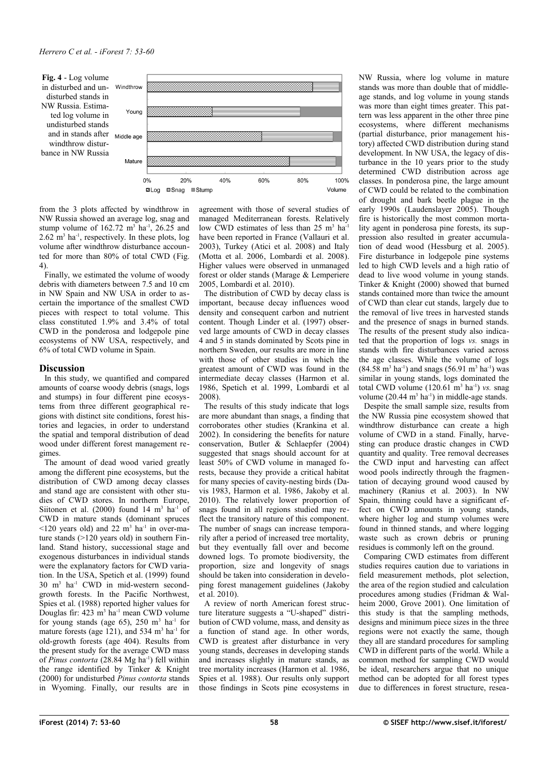<span id="page-5-0"></span>

from the 3 plots affected by windthrow in NW Russia showed an average log, snag and stump volume of  $162.72 \text{ m}^3$  ha<sup>-1</sup>, 26.25 and  $2.62 \text{ m}^3$  ha<sup>-1</sup>, respectively. In these plots, log volume after windthrow disturbance accounted for more than 80% of total CWD [\(Fig.](#page-5-0) [4\)](#page-5-0).

Finally, we estimated the volume of woody debris with diameters between 7.5 and 10 cm in NW Spain and NW USA in order to ascertain the importance of the smallest CWD pieces with respect to total volume. This class constituted 1.9% and 3.4% of total CWD in the ponderosa and lodgepole pine ecosystems of NW USA, respectively, and 6% of total CWD volume in Spain.

## **Discussion**

In this study, we quantified and compared amounts of coarse woody debris (snags, logs and stumps) in four different pine ecosystems from three different geographical regions with distinct site conditions, forest histories and legacies, in order to understand the spatial and temporal distribution of dead wood under different forest management regimes.

The amount of dead wood varied greatly among the different pine ecosystems, but the distribution of CWD among decay classes and stand age are consistent with other studies of CWD stores. In northern Europe, Siitonen et al.  $(2000)$  found 14 m<sup>3</sup> ha<sup>-1</sup> of CWD in mature stands (dominant spruces  $\leq$ 120 years old) and 22 m<sup>3</sup> ha<sup>-1</sup> in over-mature stands (>120 years old) in southern Finland. Stand history, successional stage and exogenous disturbances in individual stands were the explanatory factors for CWD variation. In the USA, Spetich et al. (1999) found 30 m<sup>3</sup> ha-1 CWD in mid-western secondgrowth forests. In the Pacific Northwest, Spies et al. (1988) reported higher values for Douglas fir:  $423 \text{ m}^3$  ha<sup>-1</sup> mean CWD volume for young stands (age 65),  $250 \text{ m}^3$  ha<sup>-1</sup> for mature forests (age 121), and 534  $m<sup>3</sup>$  ha<sup>-1</sup> for old-growth forests (age 404). Results from the present study for the average CWD mass of *Pinus contorta* (28.84 Mg ha<sup>-1</sup>) fell within the range identified by Tinker & Knight (2000) for undisturbed *Pinus contorta* stands in Wyoming. Finally, our results are in agreement with those of several studies of managed Mediterranean forests. Relatively low CWD estimates of less than 25 m<sup>3</sup> ha<sup>-1</sup> have been reported in France (Vallauri et al. 2003), Turkey (Atici et al. 2008) and Italy (Motta et al. 2006, Lombardi et al. 2008). Higher values were observed in unmanaged forest or older stands (Marage & Lemperiere 2005, Lombardi et al. 2010).

The distribution of CWD by decay class is important, because decay influences wood density and consequent carbon and nutrient content. Though Linder et al. (1997) observed large amounts of CWD in decay classes 4 and 5 in stands dominated by Scots pine in northern Sweden, our results are more in line with those of other studies in which the greatest amount of CWD was found in the intermediate decay classes (Harmon et al. 1986, Spetich et al. 1999, Lombardi et al 2008).

The results of this study indicate that logs are more abundant than snags, a finding that corroborates other studies (Krankina et al. 2002). In considering the benefits for nature conservation, Butler & Schlaepfer (2004) suggested that snags should account for at least 50% of CWD volume in managed forests, because they provide a critical habitat for many species of cavity-nesting birds (Davis 1983, Harmon et al. 1986, Jakoby et al. 2010). The relatively lower proportion of snags found in all regions studied may reflect the transitory nature of this component. The number of snags can increase temporarily after a period of increased tree mortality, but they eventually fall over and become downed logs. To promote biodiversity, the proportion, size and longevity of snags should be taken into consideration in developing forest management guidelines (Jakoby et al. 2010).

A review of north American forest structure literature suggests a "U-shaped" distribution of CWD volume, mass, and density as a function of stand age. In other words, CWD is greatest after disturbance in very young stands, decreases in developing stands and increases slightly in mature stands, as tree mortality increases (Harmon et al. 1986, Spies et al. 1988). Our results only support those findings in Scots pine ecosystems in

NW Russia, where log volume in mature stands was more than double that of middleage stands, and log volume in young stands was more than eight times greater. This pattern was less apparent in the other three pine ecosystems, where different mechanisms (partial disturbance, prior management history) affected CWD distribution during stand development. In NW USA, the legacy of disturbance in the 10 years prior to the study determined CWD distribution across age classes. In ponderosa pine, the large amount of CWD could be related to the combination of drought and bark beetle plague in the early 1990s (Laudenslayer 2005). Though fire is historically the most common mortality agent in ponderosa pine forests, its suppression also resulted in greater accumulation of dead wood (Hessburg et al. 2005). Fire disturbance in lodgepole pine systems led to high CWD levels and a high ratio of dead to live wood volume in young stands. Tinker & Knight (2000) showed that burned stands contained more than twice the amount of CWD than clear cut stands, largely due to the removal of live trees in harvested stands and the presence of snags in burned stands. The results of the present study also indicated that the proportion of logs *vs.* snags in stands with fire disturbances varied across the age classes. While the volume of logs  $(84.58 \text{ m}^3 \text{ ha}^{-1})$  and snags  $(56.91 \text{ m}^3 \text{ ha}^{-1})$  was similar in young stands, logs dominated the total CWD volume  $(120.61 \text{ m}^3 \text{ ha}^{-1})$  *vs.* snag volume  $(20.44 \text{ m}^3 \text{ ha}^{-1})$  in middle-age stands.

Despite the small sample size, results from the NW Russia pine ecosystem showed that windthrow disturbance can create a high volume of CWD in a stand. Finally, harvesting can produce drastic changes in CWD quantity and quality. Tree removal decreases the CWD input and harvesting can affect wood pools indirectly through the fragmentation of decaying ground wood caused by machinery (Ranius et al. 2003). In NW Spain, thinning could have a significant effect on CWD amounts in young stands, where higher log and stump volumes were found in thinned stands, and where logging waste such as crown debris or pruning residues is commonly left on the ground.

Comparing CWD estimates from different studies requires caution due to variations in field measurement methods, plot selection, the area of the region studied and calculation procedures among studies (Fridman & Walheim 2000, Grove 2001). One limitation of this study is that the sampling methods, designs and minimum piece sizes in the three regions were not exactly the same, though they all are standard procedures for sampling CWD in different parts of the world. While a common method for sampling CWD would be ideal, researchers argue that no unique method can be adopted for all forest types due to differences in forest structure, resea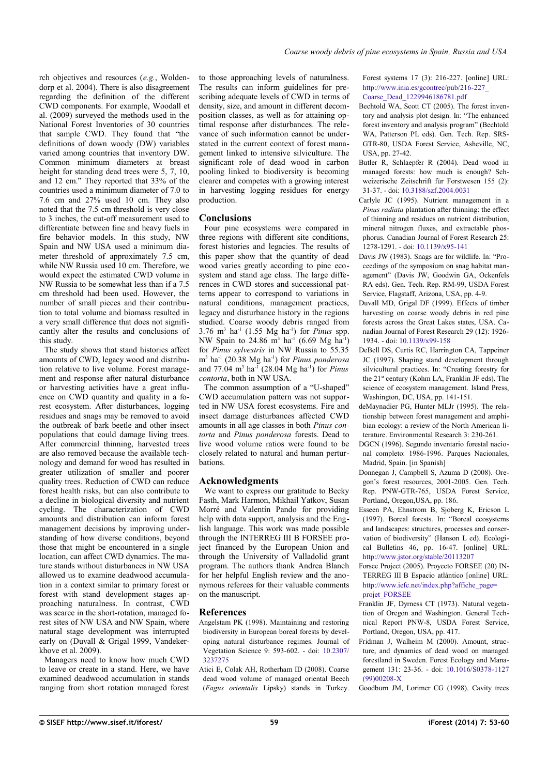rch objectives and resources (*e.g.*, Woldendorp et al. 2004). There is also disagreement regarding the definition of the different CWD components. For example, Woodall et al. (2009) surveyed the methods used in the National Forest Inventories of 30 countries that sample CWD. They found that "the definitions of down woody (DW) variables varied among countries that inventory DW. Common minimum diameters at breast height for standing dead trees were 5, 7, 10, and 12 cm." They reported that 33% of the countries used a minimum diameter of 7.0 to 7.6 cm and 27% used 10 cm. They also noted that the 7.5 cm threshold is very close to 3 inches, the cut-off measurement used to differentiate between fine and heavy fuels in fire behavior models. In this study, NW Spain and NW USA used a minimum diameter threshold of approximately 7.5 cm, while NW Russia used 10 cm. Therefore, we would expect the estimated CWD volume in NW Russia to be somewhat less than if a 7.5 cm threshold had been used. However, the number of small pieces and their contribution to total volume and biomass resulted in a very small difference that does not significantly alter the results and conclusions of this study.

The study shows that stand histories affect amounts of CWD, legacy wood and distribution relative to live volume. Forest management and response after natural disturbance or harvesting activities have a great influence on CWD quantity and quality in a forest ecosystem. After disturbances, logging residues and snags may be removed to avoid the outbreak of bark beetle and other insect populations that could damage living trees. After commercial thinning, harvested trees are also removed because the available technology and demand for wood has resulted in greater utilization of smaller and poorer quality trees. Reduction of CWD can reduce forest health risks, but can also contribute to a decline in biological diversity and nutrient cycling. The characterization of CWD amounts and distribution can inform forest management decisions by improving understanding of how diverse conditions, beyond those that might be encountered in a single location, can affect CWD dynamics. The mature stands without disturbances in NW USA allowed us to examine deadwood accumulation in a context similar to primary forest or forest with stand development stages approaching naturalness. In contrast, CWD was scarce in the short-rotation, managed forest sites of NW USA and NW Spain, where natural stage development was interrupted early on (Duvall & Grigal 1999, Vandekerkhove et al. 2009).

Managers need to know how much CWD to leave or create in a stand. Here, we have examined deadwood accumulation in stands ranging from short rotation managed forest to those approaching levels of naturalness. The results can inform guidelines for prescribing adequate levels of CWD in terms of density, size, and amount in different decomposition classes, as well as for attaining optimal response after disturbances. The relevance of such information cannot be understated in the current context of forest management linked to intensive silviculture. The significant role of dead wood in carbon pooling linked to biodiversity is becoming clearer and competes with a growing interest in harvesting logging residues for energy production.

## **Conclusions**

Four pine ecosystems were compared in three regions with different site conditions, forest histories and legacies. The results of this paper show that the quantity of dead wood varies greatly according to pine ecosystem and stand age class. The large differences in CWD stores and successional patterns appear to correspond to variations in natural conditions, management practices, legacy and disturbance history in the regions studied. Coarse woody debris ranged from 3.76 m<sup>3</sup> ha-1 (1.55 Mg ha-1) for *Pinus* spp. NW Spain to 24.86 m<sup>3</sup> ha<sup>-1</sup> (6.69 Mg ha<sup>-1</sup>) for *Pinus sylvestris* in NW Russia to 55.35 m<sup>3</sup> ha-1 (20.38 Mg ha-1) for *Pinus ponderosa* and 77.04 m<sup>3</sup> ha-1 (28.04 Mg ha-1) for *Pinus contorta*, both in NW USA.

The common assumption of a "U-shaped" CWD accumulation pattern was not supported in NW USA forest ecosystems. Fire and insect damage disturbances affected CWD amounts in all age classes in both *Pinus contorta* and *Pinus ponderosa* forests. Dead to live wood volume ratios were found to be closely related to natural and human perturbations.

# **Acknowledgments**

We want to express our gratitude to Becky Fasth, Mark Harmon, Mikhail Yatkov, Susan Morré and Valentín Pando for providing help with data support, analysis and the English language. This work was made possible through the INTERREG III B FORSEE project financed by the European Union and through the University of Valladolid grant program. The authors thank Andrea Blanch for her helpful English review and the anonymous referees for their valuable comments on the manuscript.

# **References**

- Angelstam PK (1998). Maintaining and restoring biodiversity in European boreal forests by developing natural disturbance regimes. Journal of Vegetation Science 9: 593-602. - doi: [10.2307/](http://dx.doi.org/10.2307/3237275) [3237275](http://dx.doi.org/10.2307/3237275)
- Atici E, Colak AH, Rotherham ID (2008). Coarse dead wood volume of managed oriental Beech (*Fagus orientalis* Lipsky) stands in Turkey.

Forest systems 17 (3): 216-227. [online] URL: [http://www.inia.es/gcontrec/pub/216-227\\_](http://www.inia.es/gcontrec/pub/216-227_Coarse_Dead_1229946186781.pdf) [Coarse\\_Dead\\_1229946186781.pdf](http://www.inia.es/gcontrec/pub/216-227_Coarse_Dead_1229946186781.pdf)

- Bechtold WA, Scott CT (2005). The forest inventory and analysis plot design. In: "The enhanced forest inventory and analysis program" (Bechtold WA, Patterson PL eds). Gen. Tech. Rep. SRS-GTR-80, USDA Forest Service, Asheville, NC, USA, pp. 27-42.
- Butler R, Schlaepfer R (2004). Dead wood in managed forests: how much is enough? Schweizerische Zeitschrift für Forstwesen 155 (2): 31-37. - doi: [10.3188/szf.2004.0031](http://dx.doi.org/10.3188/szf.2004.0031)
- Carlyle JC (1995). Nutrient management in a *Pinus radiata* plantation after thinning: the effect of thinning and residues on nutrient distribution, mineral nitrogen fluxes, and extractable phosphorus. Canadian Journal of Forest Research 25: 1278-1291. - doi: [10.1139/x95-141](http://dx.doi.org/10.1139/x95-141)
- Davis JW (1983). Snags are for wildlife. In: "Proceedings of the symposium on snag habitat management" (Davis JW, Goodwin GA, Ockenfels RA eds). Gen. Tech. Rep. RM-99, USDA Forest Service, Flagstaff, Arizona, USA, pp. 4-9.
- Duvall MD, Grigal DF (1999). Effects of timber harvesting on coarse woody debris in red pine forests across the Great Lakes states, USA. Canadian Journal of Forest Research 29 (12): 1926- 1934. - doi: [10.1139/x99-158](http://dx.doi.org/10.1139/x99-158)
- DeBell DS, Curtis RC, Harrington CA, Tappeiner JC (1997). Shaping stand development through silvicultural practices. In: "Creating forestry for the 21<sup>st</sup> century (Kohm LA, Franklin JF eds). The science of ecosystem management. Island Press, Washington, DC, USA, pp. 141-151.
- deMaynadier PG, Hunter MLJr (1995). The relationship between forest management and amphibian ecology: a review of the North American literature. Environmental Research 3: 230-261.
- DGCN (1996). Segundo inventario forestal nacional completo: 1986-1996. Parques Nacionales, Madrid, Spain. [in Spanish]
- Donnegan J, Campbell S, Azuma D (2008). Oregon's forest resources, 2001-2005. Gen. Tech. Rep. PNW-GTR-765, USDA Forest Service, Portland, Oregon,USA, pp. 186.
- Esseen PA, Ehnstrom B, Sjoberg K, Ericson L (1997). Boreal forests. In: "Boreal ecosystems and landscapes: structures, processes and conservation of biodiversity" (Hanson L ed). Ecological Bulletins 46, pp. 16-47. [online] URL: <http://www.jstor.org/stable/20113207>
- Forsee Project (2005). Proyecto FORSEE (20) IN-TERREG III B Espacio atlántico [online] URL: [http://www.iefc.net/index.php?affiche\\_page=](http://www.iefc.net/index.php?affiche_page=projet_FORSEE) [projet\\_FORSEE](http://www.iefc.net/index.php?affiche_page=projet_FORSEE)
- Franklin JF, Dyrness CT (1973). Natural vegetation of Oregon and Washington. General Technical Report PNW-8, USDA Forest Service, Portland, Oregon, USA, pp. 417.
- Fridman J, Walheim M (2000). Amount, structure, and dynamics of dead wood on managed forestland in Sweden. Forest Ecology and Management 131: 23-36. - doi: [10.1016/S0378-1127](http://dx.doi.org/10.1016/S0378-1127(99)00208-X) [\(99\)00208-X](http://dx.doi.org/10.1016/S0378-1127(99)00208-X)
- Goodburn JM, Lorimer CG (1998). Cavity trees